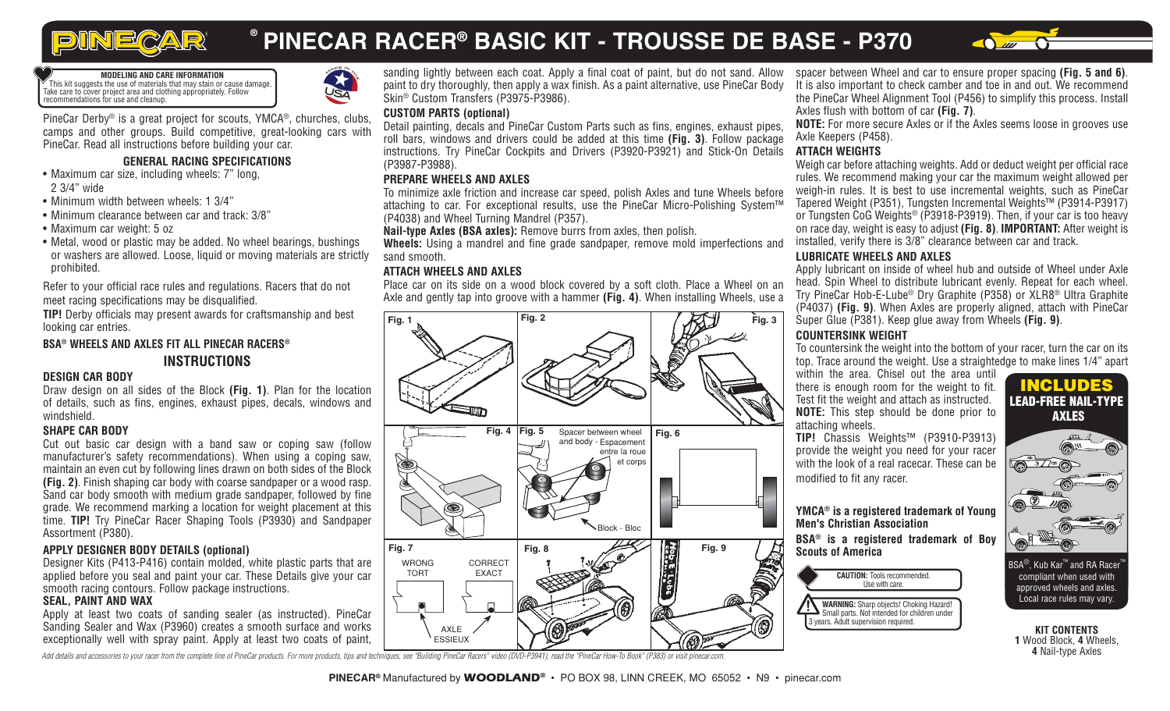

## **PINECAR RACER® BASIC KIT - TROUSSE DE BASE - P370 ®**



#### **MODELING AND CARE INFORMATION**  This kit suggests the use of materials that may stain or cause damage. Take care to cover project area and clothing appropriately. Follow recommendations for use and cleanup.



PineCar Derby® is a great project for scouts, YMCA®, churches, clubs, camps and other groups. Build competitive, great-looking cars with PineCar. Read all instructions before building your car.

## **GENERAL RACING SPECIFICATIONS**

- Maximum car size, including wheels: 7" long, 2 3/4" wide
- Minimum width between wheels: 1 3/4"
- Minimum clearance between car and track: 3/8"
- Maximum car weight: 5 oz
- Metal, wood or plastic may be added. No wheel bearings, bushings or washers are allowed. Loose, liquid or moving materials are strictly prohibited.

Refer to your official race rules and regulations. Racers that do not meet racing specifications may be disqualified.

**TIP!** Derby officials may present awards for craftsmanship and best looking car entries.

## **BSA® WHEELS AND AXLES FIT ALL PINECAR RACERS®**

## **INSTRUCTIONS**

## **DESIGN CAR BODY**

Draw design on all sides of the Block **(Fig. 1)**. Plan for the location of details, such as fins, engines, exhaust pipes, decals, windows and windshield.

## **SHAPE CAR BODY**

Cut out basic car design with a band saw or coping saw (follow manufacturer's safety recommendations). When using a coping saw, maintain an even cut by following lines drawn on both sides of the Block **(Fig. 2)**. Finish shaping car body with coarse sandpaper or a wood rasp. Sand car body smooth with medium grade sandpaper, followed by fine grade. We recommend marking a location for weight placement at this time. **TIP!** Try PineCar Racer Shaping Tools (P3930) and Sandpaper Assortment (P380).

## **APPLY DESIGNER BODY DETAILS (optional)**

Designer Kits (P413-P416) contain molded, white plastic parts that are applied before you seal and paint your car. These Details give your car smooth racing contours. Follow package instructions.

## **SEAL, PAINT AND WAX**

Apply at least two coats of sanding sealer (as instructed). PineCar Sanding Sealer and Wax (P3960) creates a smooth surface and works exceptionally well with spray paint. Apply at least two coats of paint,

Add details and accessories to your racer from the complete line of PineCar products. For more products, tips and techniques, see "Building PineCar Racers" video (DVD-P3941), read the "PineCar How-To Book"

sanding lightly between each coat. Apply a final coat of paint, but do not sand. Allow paint to dry thoroughly, then apply a wax finish. As a paint alternative, use PineCar Body Skin® Custom Transfers (P3975-P3986).

## **CUSTOM PARTS (optional)**

Detail painting, decals and PineCar Custom Parts such as fins, engines, exhaust pipes, roll bars, windows and drivers could be added at this time **(Fig. 3)**. Follow package instructions. Try PineCar Cockpits and Drivers (P3920-P3921) and Stick-On Details (P3987-P3988).

## **PREPARE WHEELS AND AXLES**

To minimize axle friction and increase car speed, polish Axles and tune Wheels before attaching to car. For exceptional results, use the PineCar Micro-Polishing System™ (P4038) and Wheel Turning Mandrel (P357).

**Nail-type Axles (BSA axles):** Remove burrs from axles, then polish.

**Wheels:** Using a mandrel and fine grade sandpaper, remove mold imperfections and sand smooth.

## **ATTACH WHEELS AND AXLES**

Place car on its side on a wood block covered by a soft cloth. Place a Wheel on an Axle and gently tap into groove with a hammer **(Fig. 4)**. When installing Wheels, use a



spacer between Wheel and car to ensure proper spacing **(Fig. 5 and 6)**. It is also important to check camber and toe in and out. We recommend the PineCar Wheel Alignment Tool (P456) to simplify this process. Install Axles flush with bottom of car **(Fig. 7)**.

**NOTE:** For more secure Axles or if the Axles seems loose in grooves use Axle Keepers (P458).

## **ATTACH WEIGHTS**

Weigh car before attaching weights. Add or deduct weight per official race rules. We recommend making your car the maximum weight allowed per weigh-in rules. It is best to use incremental weights, such as PineCar Tapered Weight (P351), Tungsten Incremental Weights™ (P3914-P3917) or Tungsten CoG Weights® (P3918-P3919). Then, if your car is too heavy on race day, weight is easy to adjust **(Fig. 8)**. **IMPORTANT:** After weight is installed, verify there is 3/8" clearance between car and track.

## **LUBRICATE WHEELS AND AXLES**

Apply lubricant on inside of wheel hub and outside of Wheel under Axle head. Spin Wheel to distribute lubricant evenly. Repeat for each wheel. Try PineCar Hob-E-Lube® Dry Graphite (P358) or XLR8® Ultra Graphite (P4037) **(Fig. 9)**. When Axles are properly aligned, attach with PineCar Super Glue (P381). Keep glue away from Wheels **(Fig. 9)**.

## **COUNTERSINK WEIGHT**

To countersink the weight into the bottom of your racer, turn the car on its top. Trace around the weight. Use a straightedge to make lines 1/4" apart

within the area. Chisel out the area until there is enough room for the weight to fit. Test fit the weight and attach as instructed. **NOTE:** This step should be done prior to attaching wheels.

**TIP!** Chassis Weights™ (P3910-P3913) provide the weight you need for your racer with the look of a real racecar. These can be modified to fit any racer.

## INCLUDES LEAD-FREE NAIL-TYPE AXLES

 $F<sub>1</sub>$  $\text{O}$ **YMCA® is a registered trademark of Young** 

**BSA® is a registered trademark of Boy Scouts of America**



**Men's Christian Association**



 $\mathsf{BSA}^\circledR$  . Kub Kar™ and RA Racer $^{\mathsf{H}}$ compliant when used with approved wheels and axles. Local race rules may vary.

**KIT CONTENTS 1** Wood Block, **4** Wheels, **4** Nail-type Axles